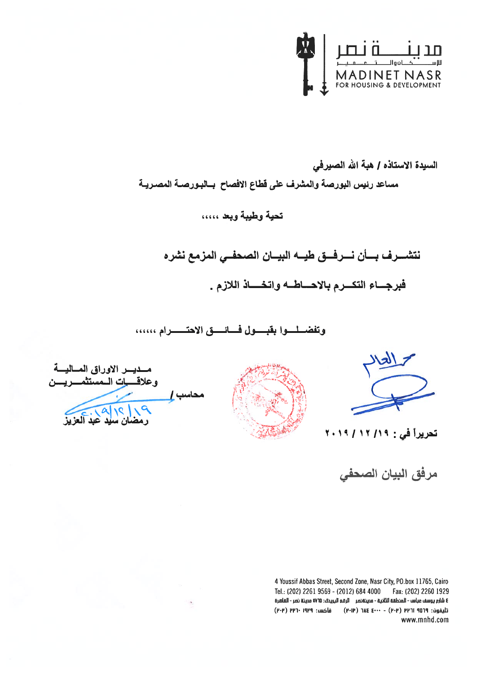

السيدة الاستاذه / هبة الله الصيرفي مساعد رئيس البورصة والمشرف على قطاع الافصاح بسالبورصـة المصـريـة

# تحية وطيبة ويعد ،،،،،

نتشسرف بسأن نسرفسق طيسه البيسان الصحفس المزمع نشره

فبرجساء التكسرم بالاحساطــه واتخــــاذ اللازم .

وتفضل وابقبول فائسق الاحتسرام ......



تعريراً في : ١٩/ ١٢ / ٢٠١٩

مرفق البيان الصحفى



مسديسر الاوراق المساليسة وعلاقسيات الممستثمسر يسن محاسب <u>إ \_\_</u>\_\_ ١٩ ) إ ؟ ( الم المحكمة العزيز

4 Youssif Abbas Street, Second Zone, Nasr City, PO.box 11765, Cairo Tel.: (202) 2261 9569 - (2012) 684 4000 Fax: (202) 2260 1929 ٤ شَارِم يوسف عباس - المنطقة الثانية - مدينةنصر - الرقم البريدى: ١٧٦٥؛ مدينة نصر - القاهرة تليفون: ١٩٥٩ ١٩٣١ (٢٠٣) - ٢٠٠٠ ١٨٤ (٢٠١٣) - فاكس: ١٩٢٩ (٢٠٣) (٢٠٣) www.mnhd.com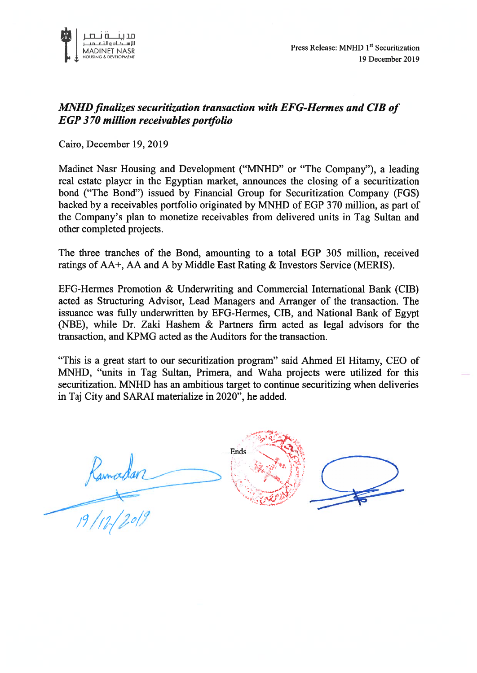

## MNHD finalizes securitization transaction with EFG-Hermes and CIB of EGP 370 million receivables portfolio

Cairo, December 19, 2019

Madinet Nasr Housing and Development ("MNHD" or "The Company"), <sup>a</sup> leading real estate player in the Egyptian market, announces the closing of <sup>a</sup> securitization bond ("The Bond") issued by Financial Group for Securitization Company (FGS) backed by <sup>a</sup> receivables portfolio originated by MNHD of EGP 370 million, as par<sup>t</sup> of the Company's plan to monetize receivables from delivered units in Tag Sultan and other completed projects.

The three tranches of the Bond, amounting to <sup>a</sup> total EGP 305 million, received ratings of AA+, AA and A by Middle East Rating & Investors Service (MERIS).

EFG-Hermes Promotion & Underwriting and Commercial International Bank (CIB) acted as Structuring Advisor, Lead Managers and Arranger of the transaction. The issuance was fully underwritten by EFG-Hennes, CIB, and National Bank of Egypt (NBE), while Dr. Zaki Hashem & Partners firm acted as legal advisors for the transaction, and KPMG acted as the Auditors for the transaction.

"This is <sup>a</sup> grea<sup>t</sup> start to our securitization program" said Ahmed El Hitamy, CEO of MNHD, "units in Tag Sultan, Primera, and Waha projects were utilized for this securitization. MNHD has an ambitious target to continue securitizing when deliveries in Taj City and SARAI materialize in 2020", he added.

Ends Ramadan :/9////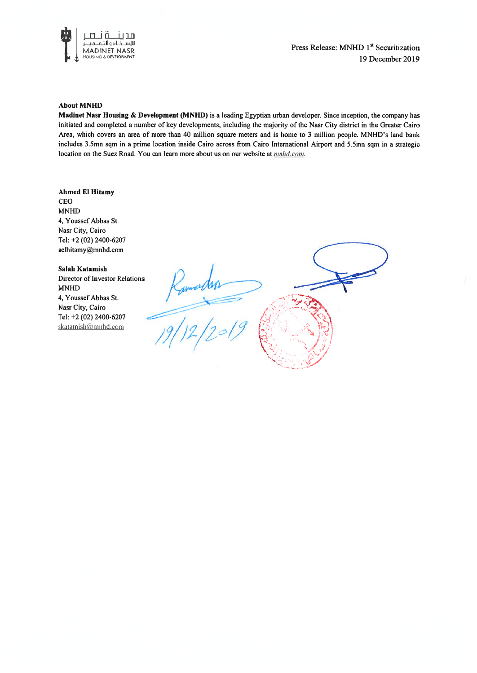

Press Release: MNHD 1<sup>st</sup> Securitization 19 December 2019

#### About MNHD

Madinet Nasr Housing & Development (MNHD) is <sup>a</sup> leading Egyptian urban developer. Since inception, the company has initiated and completed <sup>a</sup> number of key developments, including the majority of the Nasr City district in the Greater Cairo Area, which covers an area of more than 40 million square meters and is home to 3 million people. MNHD's land bank includes 3.5mn sqm in <sup>a</sup> prime location inside Cairo across from Cairo International Airport and 5.5mn sqm in <sup>a</sup> strategic location on the Suez Road. You can learn more about us on our website at *nnhd.com*.

#### Ahmed El Hitamy

CEO MNHD 4, Youssef Abbas St. Nasr City, Cairo Tel: +2 (02) 2400-6207 aelhitamy@mnhd.com

#### Salah Katamish

Director of Investor Relations MNHD 4, Youssef Abbas St. Nasr City, Cairo Tel: +2 (02) 2400-6207 skatamish@mnhd.com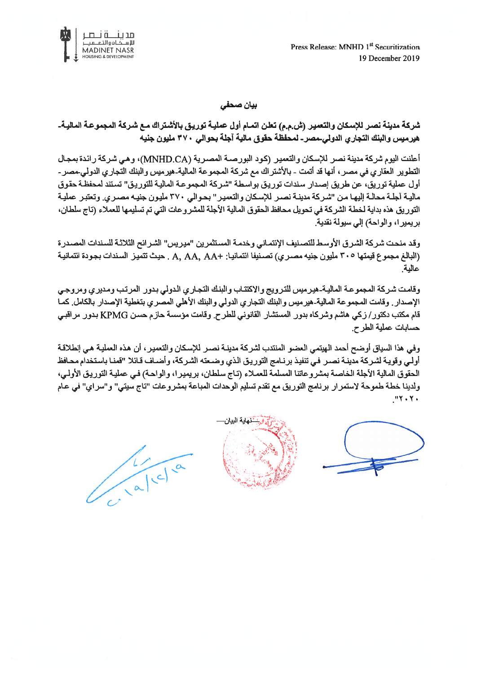Press Release: MNHD 1<sup>st</sup> Securitization 19 December 2019



بيان صحفي

شركة مدينة نصر للإسكان والنعمير (ش.م.م) تعلن اتمـام أول عمليـة توريـق بالأشتراك مـع شـركة المجموعـة الماليـة-هيرميس والبنك التجاري الدولي مصر ـ لمحفظة حقوق مالية آجلة بحوالى ٣٧٠ مليون جنيه

أعلنت اليوم شركة مدينة نصر للإسكان والتعمير (كود البورصـة المصـرية (MNHD.CA)، وهي شركة رائدة بمجال التطوير العقار ي في مصر ، أنها قد أتمت - بالأشتر اك مع شركة المجموعة المالية-هير ميس والبنك التجار ي الدولي-مصر -أول عملية توريق، عن طريق إصدار سندات توريق بواسطة "شركة المجموعة المالية للتوريق" تستند لمحفظة حقوق مالية آجلة محالـة إليهـا مـن "شـركة مدينـة نصـر للإسكان والتعمير" بحـوالي ٣٧٠ مليـون جنيـه مصـري وتعتبـر عمليـة التوريق هذه بداية لخطة الشركة في تحويل محافظ الحقوق المالية الأجلة للمشروعات التي تم تسليمها للعملاء (تاج سلطان، بريميرا، والواحة) إلى سيولة نقدية.

وقد منحت شركة الشرق الأوسط للتصنيف الإنتماني وخدمة المستثمرين "ميريس" الشرائح الثلاثـة للسندات المصدرة (البالغ مجموع قيمتها ٣٠٥ مليون جنيه مصـري) تصـنيفا انتمانيـا: +A, AA, AA . حيث تتميـز السـندات بجـودة انتمانيـة عالية

وقامت شركة المجموعة المالية هيرميس للترويج والاكتتاب والبنك التجاري الدولي بدور المرتب ومديري ومروجي الإصدار . وقامت المجموعة المالية-هيرميس والبنك التجاري الدولي والبنك الأهلي المصري بتغطية الإصدار بالكامل كمـا قام مكتب دكتور/ زكي هاشم وشركاه بدور المستشار القانوني للطرح. وقامت مؤسسة حازم حسن KPMG بدور مراقبي حسابات عملية الطرح.

وفي هذا السياق أوضح أحمد الهيتمي العضو المنتدب لشركة مدينـة نصـر للإسكان والتعمير ، أن هذه العمليـة هـي إنطلاقـة أولـي وقويـة لشـركة مدينـة نصـر فـي تنفيـذ برنـامج التوريـق الذي وضـعته الشـركة، وأضـاف قـائلا "قمنـا باستخدام محـافظ الحقوق المالية الأجلة الخاصـة بمشروعاتنا المسلمة للعمـلاء (تـاج سلطـان، بريميـرا، والواحـة) فـي عمليـة التوريـق الأولـي، ولدينا خطة طموحة لاستمرار برنامج التوريق مع تقدم تسليم الوحدات المباعة بمشروعات "تاج سيتي" و"سراي" في عـام  $MY + Y +$ 





alcla